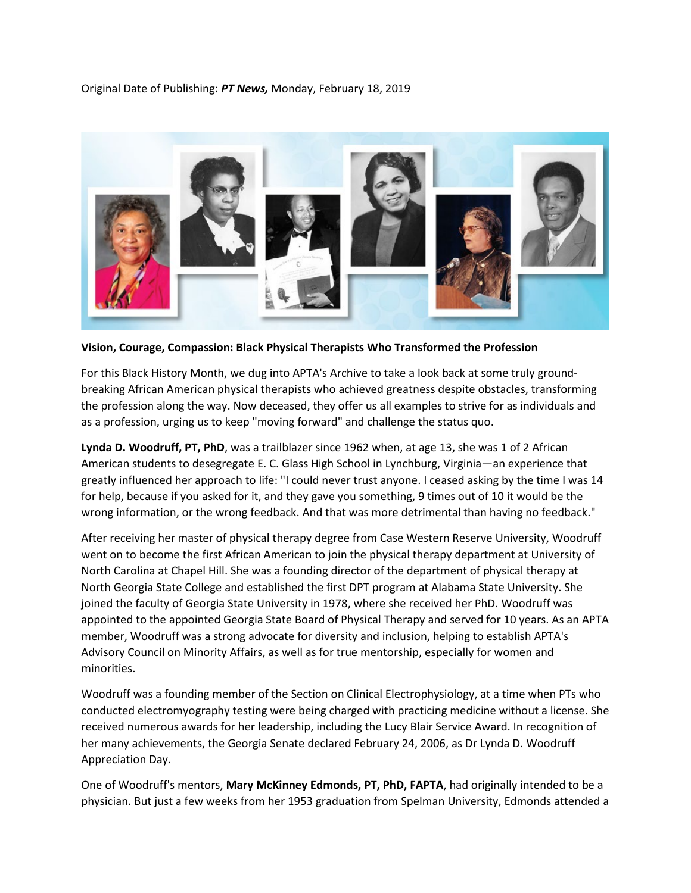Original Date of Publishing: *PT News,* Monday, February 18, 2019



**Vision, Courage, Compassion: Black Physical Therapists Who Transformed the Profession**

For this Black History Month, we dug into APTA's Archive to take a look back at some truly groundbreaking African American physical therapists who achieved greatness despite obstacles, transforming the profession along the way. Now deceased, they offer us all examples to strive for as individuals and as a profession, urging us to keep "moving forward" and challenge the status quo.

**Lynda D. Woodruff, PT, PhD**, was a trailblazer since 1962 when, at age 13, she was 1 of 2 African American students to desegregate E. C. Glass High School in Lynchburg, Virginia—an experience that greatly influenced her approach to life: "I could never trust anyone. I ceased asking by the time I was 14 for help, because if you asked for it, and they gave you something, 9 times out of 10 it would be the wrong information, or the wrong feedback. And that was more detrimental than having no feedback."

After receiving her master of physical therapy degree from Case Western Reserve University, Woodruff went on to become the first African American to join the physical therapy department at University of North Carolina at Chapel Hill. She was a founding director of the department of physical therapy at North Georgia State College and established the first DPT program at Alabama State University. She joined the faculty of Georgia State University in 1978, where she received her PhD. Woodruff was appointed to the appointed Georgia State Board of Physical Therapy and served for 10 years. As an APTA member, Woodruff was a strong advocate for diversity and inclusion, helping to establish APTA's Advisory Council on Minority Affairs, as well as for true mentorship, especially for women and minorities.

Woodruff was a founding member of the Section on Clinical Electrophysiology, at a time when PTs who conducted electromyography testing were being charged with practicing medicine without a license. She received numerous awards for her leadership, including the Lucy Blair Service Award. In recognition of her many achievements, the Georgia Senate declared February 24, 2006, as Dr Lynda D. Woodruff Appreciation Day.

One of Woodruff's mentors, **Mary McKinney Edmonds, PT, PhD, FAPTA**, had originally intended to be a physician. But just a few weeks from her 1953 graduation from Spelman University, Edmonds attended a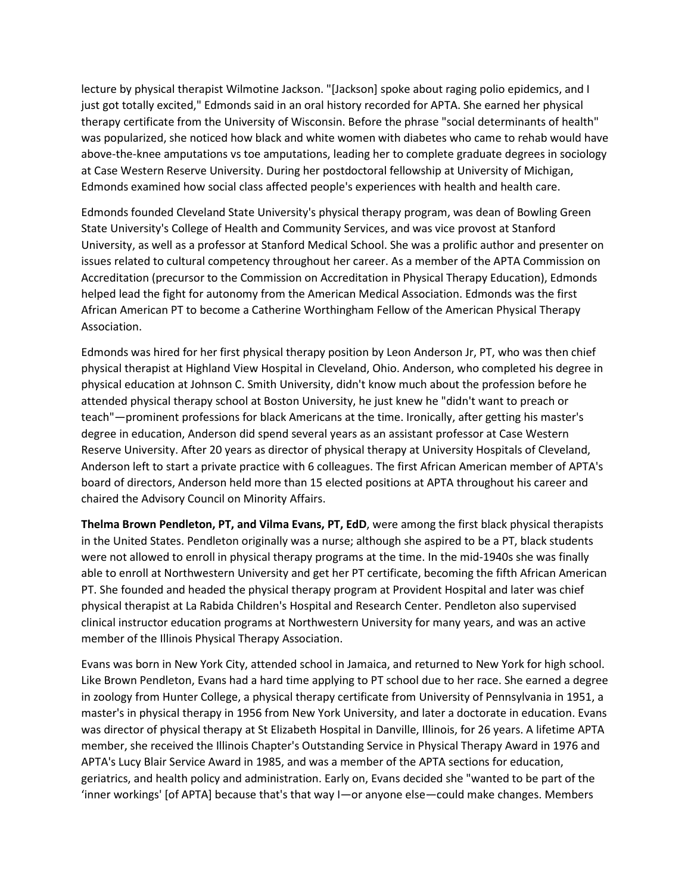lecture by physical therapist Wilmotine Jackson. "[Jackson] spoke about raging polio epidemics, and I just got totally excited," Edmonds said in an oral history recorded for APTA. She earned her physical therapy certificate from the University of Wisconsin. Before the phrase "social determinants of health" was popularized, she noticed how black and white women with diabetes who came to rehab would have above-the-knee amputations vs toe amputations, leading her to complete graduate degrees in sociology at Case Western Reserve University. During her postdoctoral fellowship at University of Michigan, Edmonds examined how social class affected people's experiences with health and health care.

Edmonds founded Cleveland State University's physical therapy program, was dean of Bowling Green State University's College of Health and Community Services, and was vice provost at Stanford University, as well as a professor at Stanford Medical School. She was a prolific author and presenter on issues related to cultural competency throughout her career. As a member of the APTA Commission on Accreditation (precursor to the Commission on Accreditation in Physical Therapy Education), Edmonds helped lead the fight for autonomy from the American Medical Association. Edmonds was the first African American PT to become a Catherine Worthingham Fellow of the American Physical Therapy Association.

Edmonds was hired for her first physical therapy position by Leon Anderson Jr, PT, who was then chief physical therapist at Highland View Hospital in Cleveland, Ohio. Anderson, who completed his degree in physical education at Johnson C. Smith University, didn't know much about the profession before he attended physical therapy school at Boston University, he just knew he "didn't want to preach or teach"—prominent professions for black Americans at the time. Ironically, after getting his master's degree in education, Anderson did spend several years as an assistant professor at Case Western Reserve University. After 20 years as director of physical therapy at University Hospitals of Cleveland, Anderson left to start a private practice with 6 colleagues. The first African American member of APTA's board of directors, Anderson held more than 15 elected positions at APTA throughout his career and chaired the Advisory Council on Minority Affairs.

**Thelma Brown Pendleton, PT, and Vilma Evans, PT, EdD**, were among the first black physical therapists in the United States. Pendleton originally was a nurse; although she aspired to be a PT, black students were not allowed to enroll in physical therapy programs at the time. In the mid-1940s she was finally able to enroll at Northwestern University and get her PT certificate, becoming the fifth African American PT. She founded and headed the physical therapy program at Provident Hospital and later was chief physical therapist at La Rabida Children's Hospital and Research Center. Pendleton also supervised clinical instructor education programs at Northwestern University for many years, and was an active member of the Illinois Physical Therapy Association.

Evans was born in New York City, attended school in Jamaica, and returned to New York for high school. Like Brown Pendleton, Evans had a hard time applying to PT school due to her race. She earned a degree in zoology from Hunter College, a physical therapy certificate from University of Pennsylvania in 1951, a master's in physical therapy in 1956 from New York University, and later a doctorate in education. Evans was director of physical therapy at St Elizabeth Hospital in Danville, Illinois, for 26 years. A lifetime APTA member, she received the Illinois Chapter's Outstanding Service in Physical Therapy Award in 1976 and APTA's Lucy Blair Service Award in 1985, and was a member of the APTA sections for education, geriatrics, and health policy and administration. Early on, Evans decided she "wanted to be part of the 'inner workings' [of APTA] because that's that way I—or anyone else—could make changes. Members